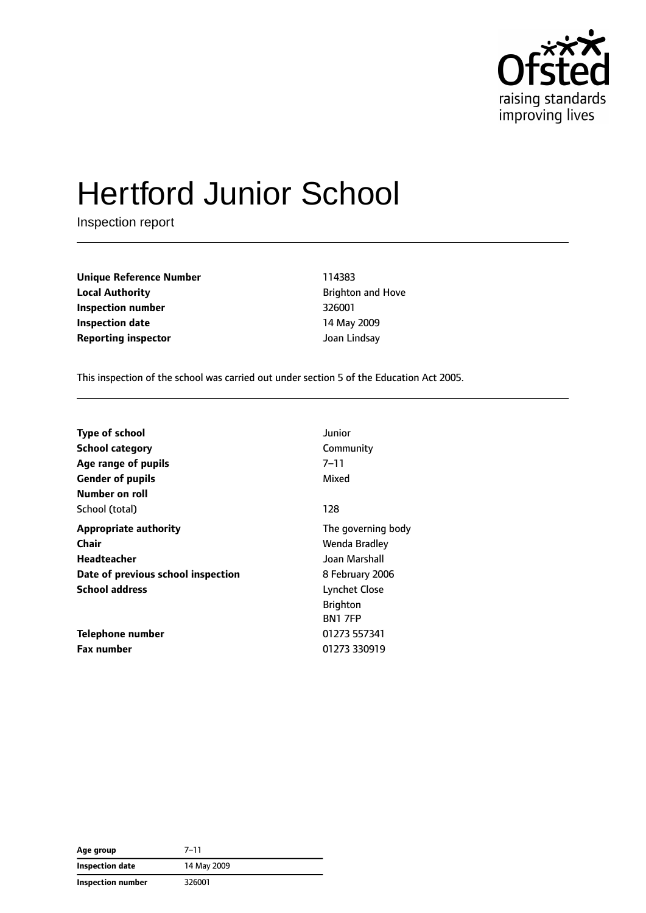

# Hertford Junior School

Inspection report

**Unique Reference Number** 114383 **Local Authority Brighton and Hove Inspection number** 326001 **Inspection date** 14 May 2009 **Reporting inspector and a structure of the United Structure Joan Lindsay** 

This inspection of the school was carried out under section 5 of the Education Act 2005.

| <b>Type of school</b>              | Junior               |
|------------------------------------|----------------------|
| <b>School category</b>             | Community            |
| Age range of pupils                | 7–11                 |
| <b>Gender of pupils</b>            | Mixed                |
| Number on roll                     |                      |
| School (total)                     | 128                  |
| <b>Appropriate authority</b>       | The governing body   |
| Chair                              | Wenda Bradley        |
| Headteacher                        | Joan Marshall        |
| Date of previous school inspection | 8 February 2006      |
| <b>School address</b>              | <b>Lynchet Close</b> |
|                                    | <b>Brighton</b>      |
|                                    | <b>BN1 7FP</b>       |
| Telephone number                   | 01273 557341         |
| <b>Fax number</b>                  | 01273 330919         |

| Age group         | $7 - 11$    |
|-------------------|-------------|
| Inspection date   | 14 May 2009 |
| Inspection number | 326001      |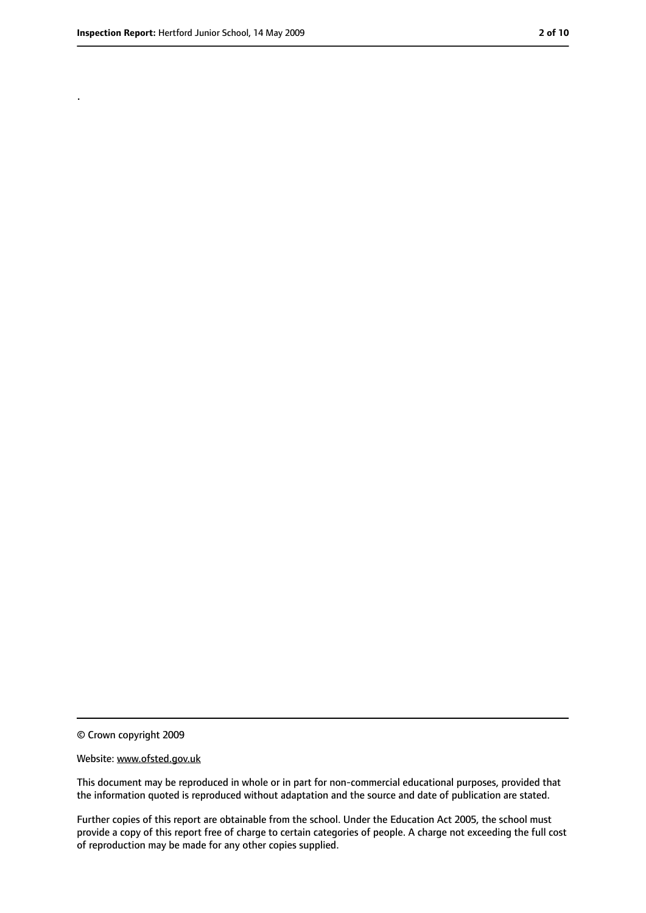.

<sup>©</sup> Crown copyright 2009

Website: www.ofsted.gov.uk

This document may be reproduced in whole or in part for non-commercial educational purposes, provided that the information quoted is reproduced without adaptation and the source and date of publication are stated.

Further copies of this report are obtainable from the school. Under the Education Act 2005, the school must provide a copy of this report free of charge to certain categories of people. A charge not exceeding the full cost of reproduction may be made for any other copies supplied.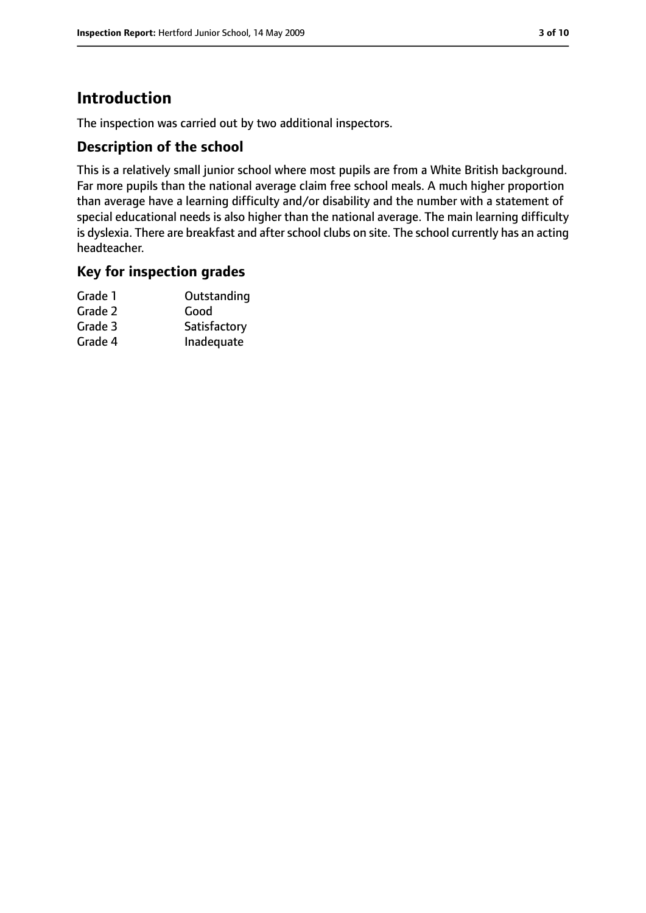# **Introduction**

The inspection was carried out by two additional inspectors.

## **Description of the school**

This is a relatively small junior school where most pupils are from a White British background. Far more pupils than the national average claim free school meals. A much higher proportion than average have a learning difficulty and/or disability and the number with a statement of special educational needs is also higher than the national average. The main learning difficulty is dyslexia. There are breakfast and after school clubs on site. The school currently has an acting headteacher.

#### **Key for inspection grades**

| Grade 1 | Outstanding  |
|---------|--------------|
| Grade 2 | Good         |
| Grade 3 | Satisfactory |
| Grade 4 | Inadequate   |
|         |              |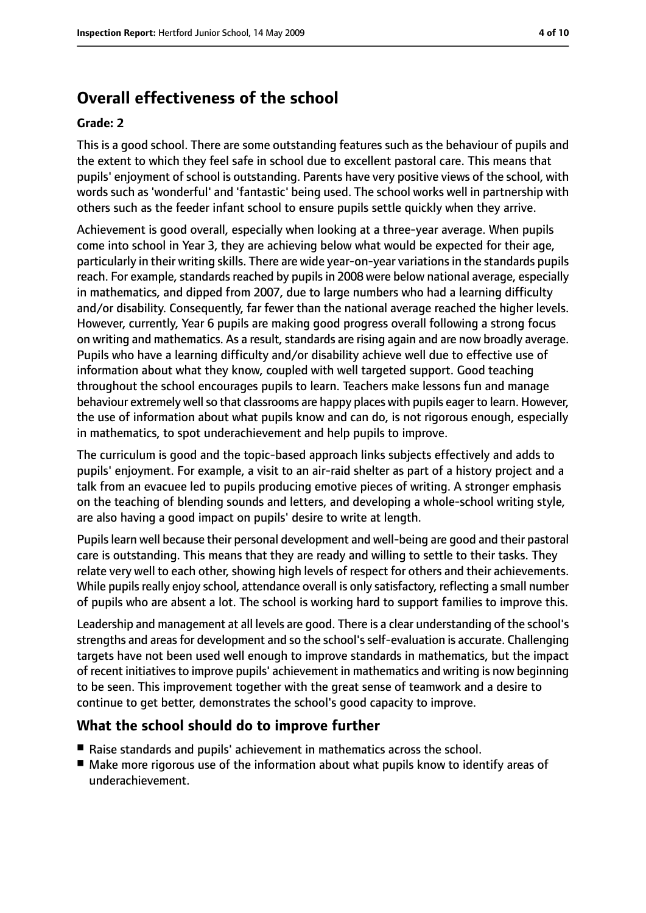# **Overall effectiveness of the school**

#### **Grade: 2**

This is a good school. There are some outstanding features such as the behaviour of pupils and the extent to which they feel safe in school due to excellent pastoral care. This means that pupils' enjoyment of school is outstanding. Parents have very positive views of the school, with words such as 'wonderful' and 'fantastic' being used. The school works well in partnership with others such as the feeder infant school to ensure pupils settle quickly when they arrive.

Achievement is good overall, especially when looking at a three-year average. When pupils come into school in Year 3, they are achieving below what would be expected for their age, particularly in their writing skills. There are wide year-on-year variationsin the standards pupils reach. For example, standards reached by pupils in 2008 were below national average, especially in mathematics, and dipped from 2007, due to large numbers who had a learning difficulty and/or disability. Consequently, far fewer than the national average reached the higher levels. However, currently, Year 6 pupils are making good progress overall following a strong focus on writing and mathematics. As a result, standards are rising again and are now broadly average. Pupils who have a learning difficulty and/or disability achieve well due to effective use of information about what they know, coupled with well targeted support. Good teaching throughout the school encourages pupils to learn. Teachers make lessons fun and manage behaviour extremely well so that classrooms are happy places with pupils eager to learn. However, the use of information about what pupils know and can do, is not rigorous enough, especially in mathematics, to spot underachievement and help pupils to improve.

The curriculum is good and the topic-based approach links subjects effectively and adds to pupils' enjoyment. For example, a visit to an air-raid shelter as part of a history project and a talk from an evacuee led to pupils producing emotive pieces of writing. A stronger emphasis on the teaching of blending sounds and letters, and developing a whole-school writing style, are also having a good impact on pupils' desire to write at length.

Pupils learn well because their personal development and well-being are good and their pastoral care is outstanding. This means that they are ready and willing to settle to their tasks. They relate very well to each other, showing high levels of respect for others and their achievements. While pupils really enjoy school, attendance overall is only satisfactory, reflecting a small number of pupils who are absent a lot. The school is working hard to support families to improve this.

Leadership and management at all levels are good. There is a clear understanding of the school's strengths and areasfor development and so the school'sself-evaluation is accurate. Challenging targets have not been used well enough to improve standards in mathematics, but the impact of recent initiatives to improve pupils' achievement in mathematics and writing is now beginning to be seen. This improvement together with the great sense of teamwork and a desire to continue to get better, demonstrates the school's good capacity to improve.

#### **What the school should do to improve further**

- Raise standards and pupils' achievement in mathematics across the school.
- Make more rigorous use of the information about what pupils know to identify areas of underachievement.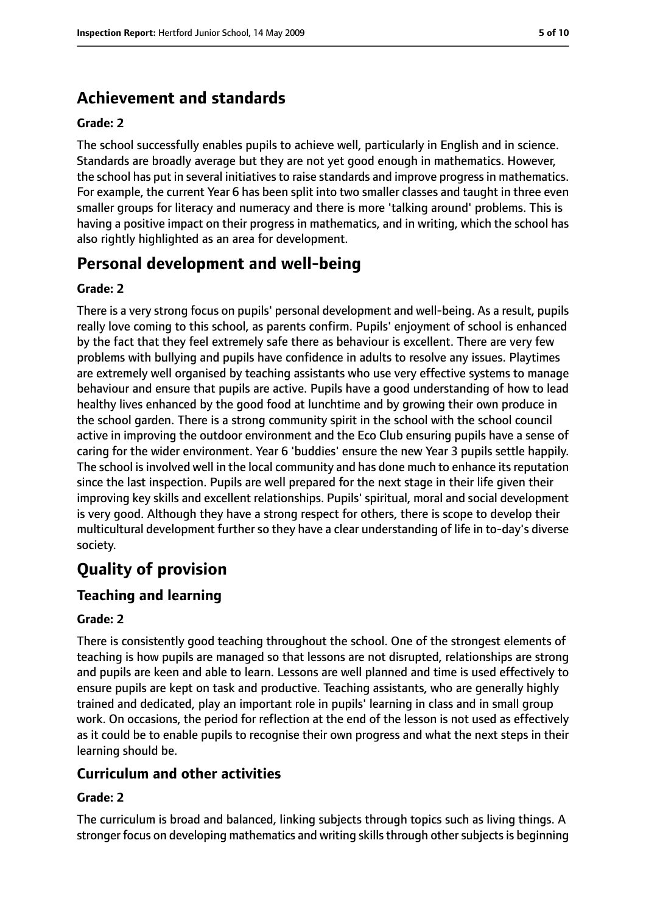# **Achievement and standards**

#### **Grade: 2**

The school successfully enables pupils to achieve well, particularly in English and in science. Standards are broadly average but they are not yet good enough in mathematics. However, the school has put in several initiatives to raise standards and improve progress in mathematics. For example, the current Year 6 has been split into two smaller classes and taught in three even smaller groups for literacy and numeracy and there is more 'talking around' problems. This is having a positive impact on their progress in mathematics, and in writing, which the school has also rightly highlighted as an area for development.

## **Personal development and well-being**

#### **Grade: 2**

There is a very strong focus on pupils' personal development and well-being. As a result, pupils really love coming to this school, as parents confirm. Pupils' enjoyment of school is enhanced by the fact that they feel extremely safe there as behaviour is excellent. There are very few problems with bullying and pupils have confidence in adults to resolve any issues. Playtimes are extremely well organised by teaching assistants who use very effective systems to manage behaviour and ensure that pupils are active. Pupils have a good understanding of how to lead healthy lives enhanced by the good food at lunchtime and by growing their own produce in the school garden. There is a strong community spirit in the school with the school council active in improving the outdoor environment and the Eco Club ensuring pupils have a sense of caring for the wider environment. Year 6 'buddies' ensure the new Year 3 pupils settle happily. The school is involved well in the local community and has done much to enhance its reputation since the last inspection. Pupils are well prepared for the next stage in their life given their improving key skills and excellent relationships. Pupils' spiritual, moral and social development is very good. Although they have a strong respect for others, there is scope to develop their multicultural development further so they have a clear understanding of life in to-day's diverse society.

# **Quality of provision**

#### **Teaching and learning**

#### **Grade: 2**

There is consistently good teaching throughout the school. One of the strongest elements of teaching is how pupils are managed so that lessons are not disrupted, relationships are strong and pupils are keen and able to learn. Lessons are well planned and time is used effectively to ensure pupils are kept on task and productive. Teaching assistants, who are generally highly trained and dedicated, play an important role in pupils' learning in class and in small group work. On occasions, the period for reflection at the end of the lesson is not used as effectively as it could be to enable pupils to recognise their own progress and what the next steps in their learning should be.

#### **Curriculum and other activities**

#### **Grade: 2**

The curriculum is broad and balanced, linking subjects through topics such as living things. A stronger focus on developing mathematics and writing skills through other subjects is beginning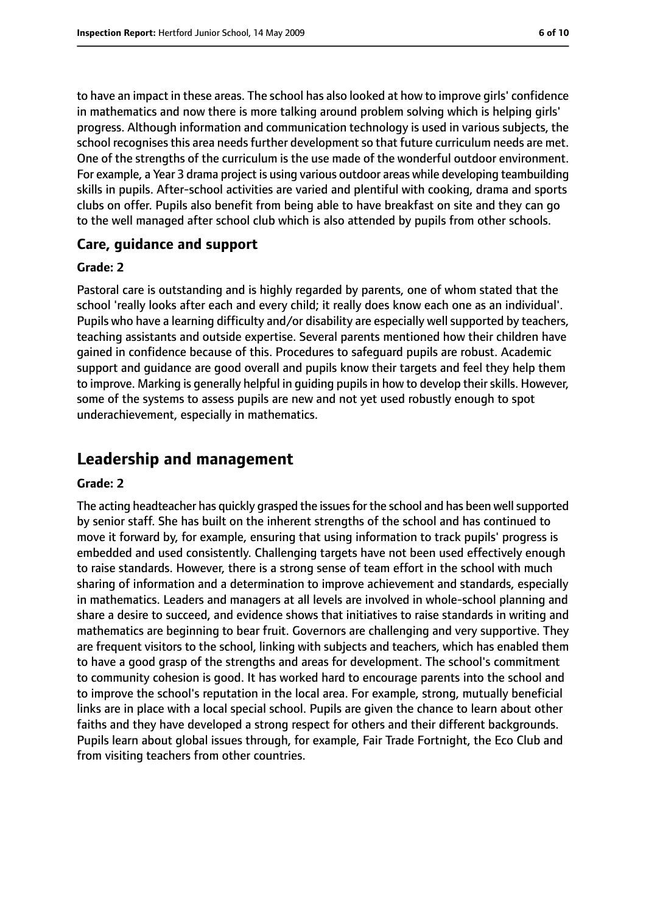to have an impact in these areas. The school has also looked at how to improve girls' confidence in mathematics and now there is more talking around problem solving which is helping girls' progress. Although information and communication technology is used in various subjects, the school recognises this area needs further development so that future curriculum needs are met. One of the strengths of the curriculum is the use made of the wonderful outdoor environment. For example, a Year 3 drama project is using various outdoor areas while developing teambuilding skills in pupils. After-school activities are varied and plentiful with cooking, drama and sports clubs on offer. Pupils also benefit from being able to have breakfast on site and they can go to the well managed after school club which is also attended by pupils from other schools.

#### **Care, guidance and support**

#### **Grade: 2**

Pastoral care is outstanding and is highly regarded by parents, one of whom stated that the school 'really looks after each and every child; it really does know each one as an individual'. Pupils who have a learning difficulty and/or disability are especially well supported by teachers, teaching assistants and outside expertise. Several parents mentioned how their children have gained in confidence because of this. Procedures to safeguard pupils are robust. Academic support and guidance are good overall and pupils know their targets and feel they help them to improve. Marking is generally helpful in guiding pupils in how to develop their skills. However, some of the systems to assess pupils are new and not yet used robustly enough to spot underachievement, especially in mathematics.

## **Leadership and management**

#### **Grade: 2**

The acting headteacher has quickly grasped the issues for the school and has been well supported by senior staff. She has built on the inherent strengths of the school and has continued to move it forward by, for example, ensuring that using information to track pupils' progress is embedded and used consistently. Challenging targets have not been used effectively enough to raise standards. However, there is a strong sense of team effort in the school with much sharing of information and a determination to improve achievement and standards, especially in mathematics. Leaders and managers at all levels are involved in whole-school planning and share a desire to succeed, and evidence shows that initiatives to raise standards in writing and mathematics are beginning to bear fruit. Governors are challenging and very supportive. They are frequent visitors to the school, linking with subjects and teachers, which has enabled them to have a good grasp of the strengths and areas for development. The school's commitment to community cohesion is good. It has worked hard to encourage parents into the school and to improve the school's reputation in the local area. For example, strong, mutually beneficial links are in place with a local special school. Pupils are given the chance to learn about other faiths and they have developed a strong respect for others and their different backgrounds. Pupils learn about global issues through, for example, Fair Trade Fortnight, the Eco Club and from visiting teachers from other countries.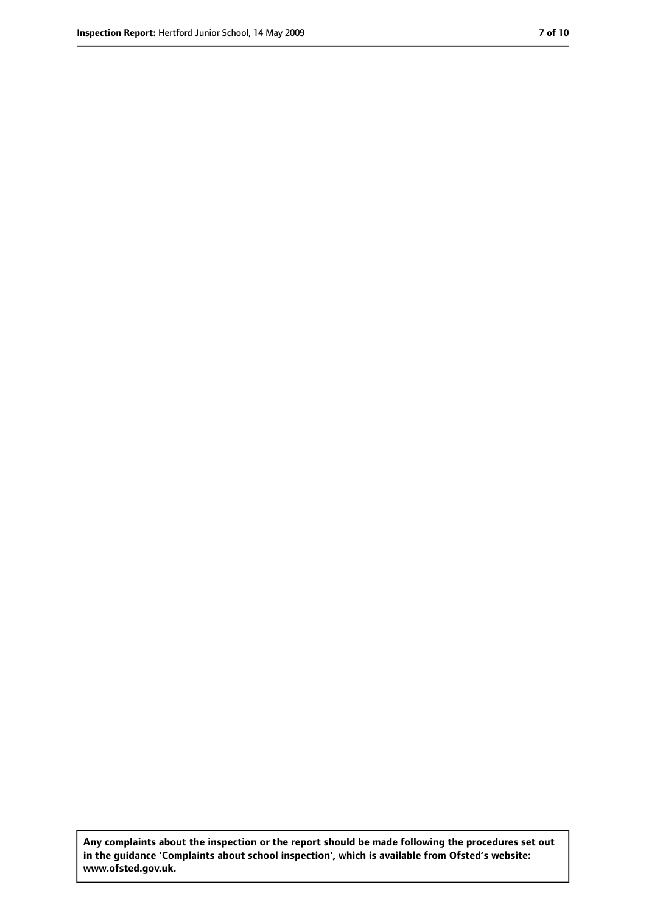**Any complaints about the inspection or the report should be made following the procedures set out in the guidance 'Complaints about school inspection', which is available from Ofsted's website: www.ofsted.gov.uk.**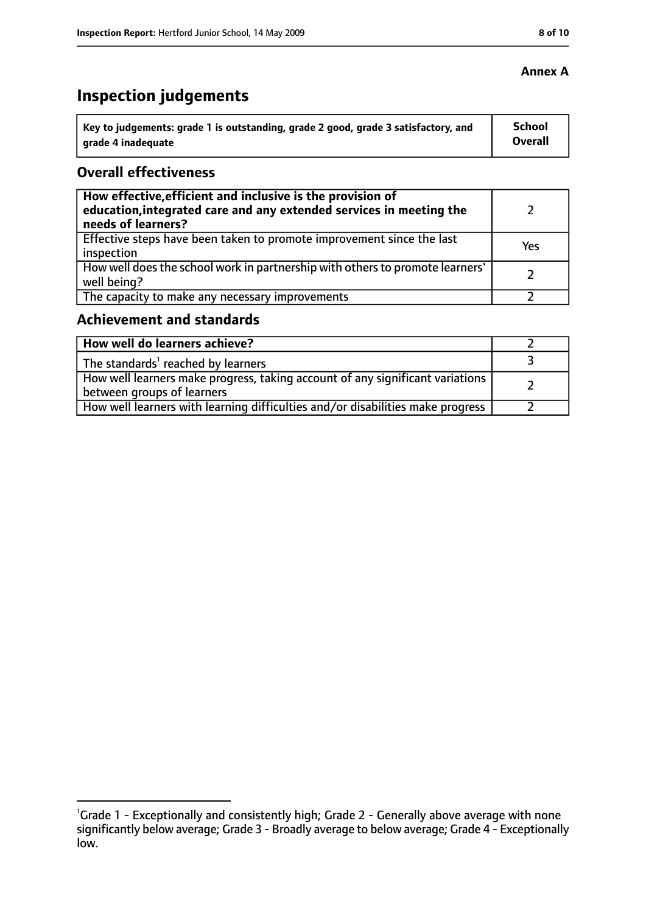#### **Annex A**

# **Inspection judgements**

| Key to judgements: grade 1 is outstanding, grade 2 good, grade 3 satisfactory, and | <b>School</b> |
|------------------------------------------------------------------------------------|---------------|
| arade 4 inadequate                                                                 | Overall       |

## **Overall effectiveness**

| How effective, efficient and inclusive is the provision of<br>education, integrated care and any extended services in meeting the<br>needs of learners? |     |
|---------------------------------------------------------------------------------------------------------------------------------------------------------|-----|
| Effective steps have been taken to promote improvement since the last<br>inspection                                                                     | Yes |
| How well does the school work in partnership with others to promote learners'<br>well being?                                                            |     |
| The capacity to make any necessary improvements                                                                                                         |     |

## **Achievement and standards**

| How well do learners achieve?                                                                                 |  |
|---------------------------------------------------------------------------------------------------------------|--|
| $\vert$ The standards <sup>1</sup> reached by learners                                                        |  |
| How well learners make progress, taking account of any significant variations  <br>between groups of learners |  |
| How well learners with learning difficulties and/or disabilities make progress                                |  |

<sup>&</sup>lt;sup>1</sup>Grade 1 - Exceptionally and consistently high; Grade 2 - Generally above average with none significantly below average; Grade 3 - Broadly average to below average; Grade 4 - Exceptionally low.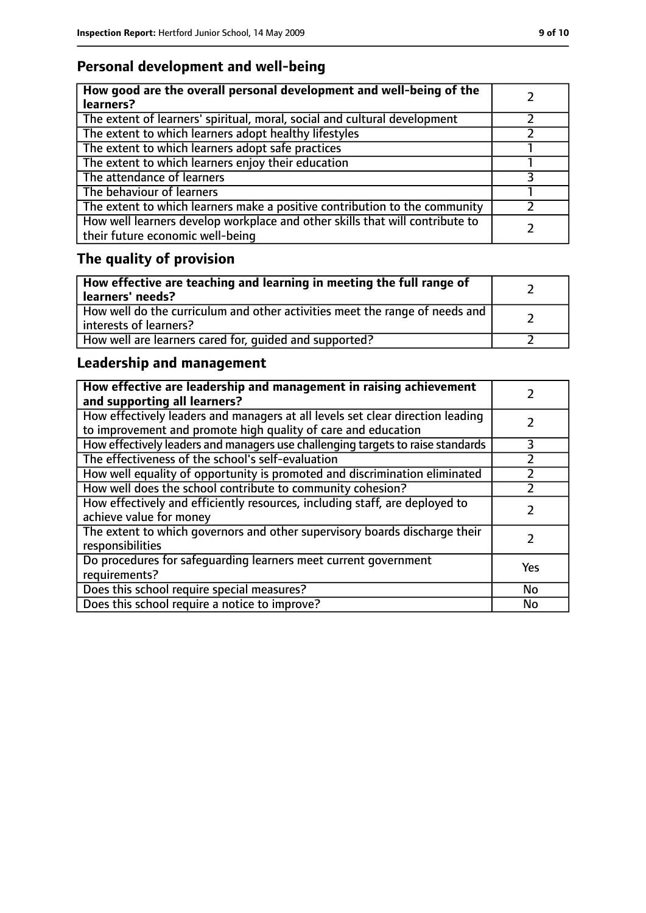## **Personal development and well-being**

| How good are the overall personal development and well-being of the<br>learners?                                 |  |
|------------------------------------------------------------------------------------------------------------------|--|
| The extent of learners' spiritual, moral, social and cultural development                                        |  |
| The extent to which learners adopt healthy lifestyles                                                            |  |
| The extent to which learners adopt safe practices                                                                |  |
| The extent to which learners enjoy their education                                                               |  |
| The attendance of learners                                                                                       |  |
| The behaviour of learners                                                                                        |  |
| The extent to which learners make a positive contribution to the community                                       |  |
| How well learners develop workplace and other skills that will contribute to<br>their future economic well-being |  |

# **The quality of provision**

| $\vert$ How effective are teaching and learning in meeting the full range of<br>  learners' needs?      |  |
|---------------------------------------------------------------------------------------------------------|--|
| How well do the curriculum and other activities meet the range of needs and<br>  interests of learners? |  |
| How well are learners cared for, quided and supported?                                                  |  |

## **Leadership and management**

| How effective are leadership and management in raising achievement<br>and supporting all learners?                                              |     |
|-------------------------------------------------------------------------------------------------------------------------------------------------|-----|
| How effectively leaders and managers at all levels set clear direction leading<br>to improvement and promote high quality of care and education |     |
| How effectively leaders and managers use challenging targets to raise standards                                                                 | 3   |
| The effectiveness of the school's self-evaluation                                                                                               |     |
| How well equality of opportunity is promoted and discrimination eliminated                                                                      |     |
| How well does the school contribute to community cohesion?                                                                                      |     |
| How effectively and efficiently resources, including staff, are deployed to<br>achieve value for money                                          |     |
| The extent to which governors and other supervisory boards discharge their<br>responsibilities                                                  |     |
| Do procedures for safequarding learners meet current government<br>requirements?                                                                | Yes |
| Does this school require special measures?                                                                                                      | No  |
| Does this school require a notice to improve?                                                                                                   | No  |